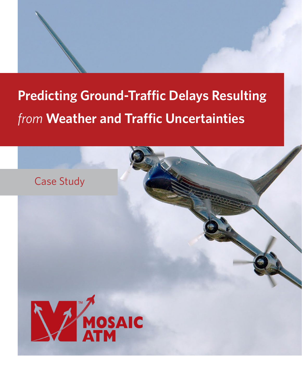# **Predicting Ground-Traffic Delays Resulting**  *from* **Weather and Traffic Uncertainties**

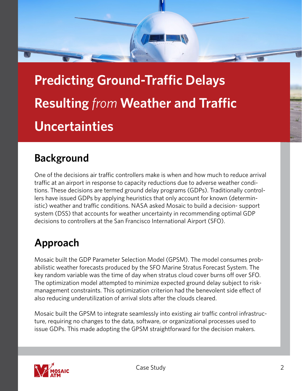

**Predicting Ground-Traffic Delays Resulting** *from* **Weather and Traffic Uncertainties**

## **Background**

One of the decisions air traffic controllers make is when and how much to reduce arrival traffic at an airport in response to capacity reductions due to adverse weather conditions. These decisions are termed ground delay programs (GDPs). Traditionally controllers have issued GDPs by applying heuristics that only account for known (deterministic) weather and traffic conditions. NASA asked Mosaic to build a decision- support system (DSS) that accounts for weather uncertainty in recommending optimal GDP decisions to controllers at the San Francisco International Airport (SFO).

# **Approach**

Mosaic built the GDP Parameter Selection Model (GPSM). The model consumes probabilistic weather forecasts produced by the SFO Marine Stratus Forecast System. The key random variable was the time of day when stratus cloud cover burns off over SFO. The optimization model attempted to minimize expected ground delay subject to riskmanagement constraints. This optimization criterion had the benevolent side effect of also reducing underutilization of arrival slots after the clouds cleared.

Mosaic built the GPSM to integrate seamlessly into existing air traffic control infrastructure, requiring no changes to the data, software, or organizational processes used to issue GDPs. This made adopting the GPSM straightforward for the decision makers.

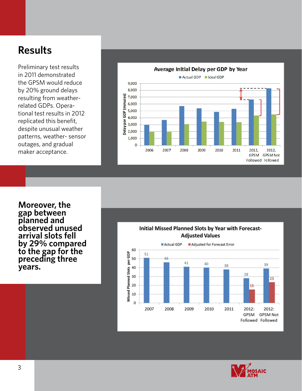#### **Results**

Preliminary test results in 2011 demonstrated the GPSM would reduce by 20% ground delays resulting from weatherrelated GDPs. Operational test results in 2012 replicated this benefit, despite unusual weather patterns, weather- sensor outages, and gradual maker acceptance.



**Moreover, the gap between planned and observed unused arrival slots fell by 29% compared to the gap for the preceding three years.**